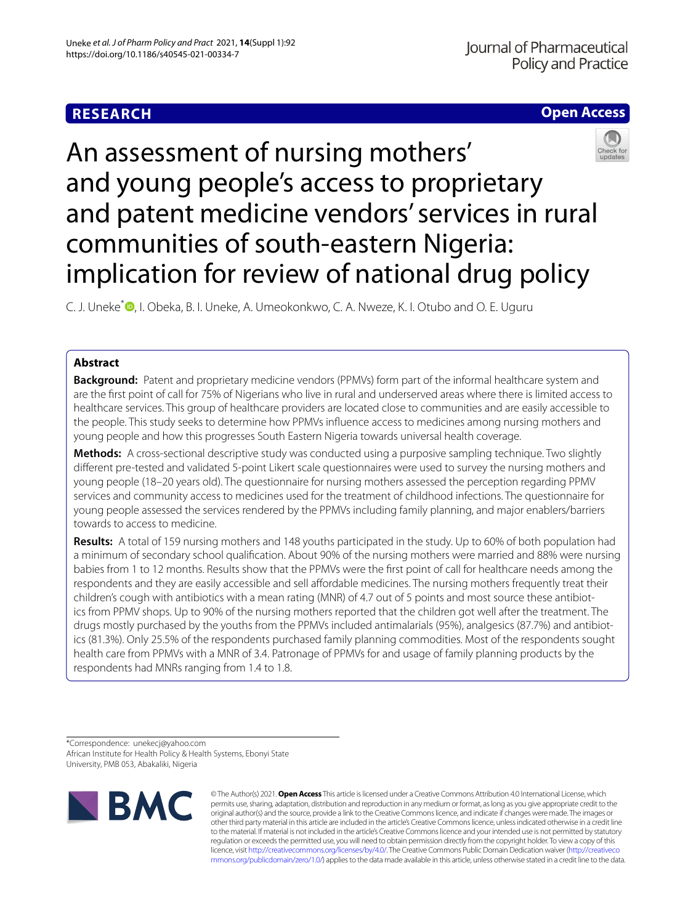# **RESEARCH**

# **Open Access**

# An assessment of nursing mothers' and young people's access to proprietary and patent medicine vendors' services in rural communities of south-eastern Nigeria: implication for review of national drug policy

C. J. Uneke<sup>\*</sup> •[,](http://orcid.org/0000-0003-4718-2182) I. Obeka, B. I. Uneke, A. Umeokonkwo, C. A. Nweze, K. I. Otubo and O. E. Uguru

# **Abstract**

**Background:** Patent and proprietary medicine vendors (PPMVs) form part of the informal healthcare system and are the frst point of call for 75% of Nigerians who live in rural and underserved areas where there is limited access to healthcare services. This group of healthcare providers are located close to communities and are easily accessible to the people. This study seeks to determine how PPMVs infuence access to medicines among nursing mothers and young people and how this progresses South Eastern Nigeria towards universal health coverage.

**Methods:** A cross-sectional descriptive study was conducted using a purposive sampling technique. Two slightly diferent pre-tested and validated 5-point Likert scale questionnaires were used to survey the nursing mothers and young people (18–20 years old). The questionnaire for nursing mothers assessed the perception regarding PPMV services and community access to medicines used for the treatment of childhood infections. The questionnaire for young people assessed the services rendered by the PPMVs including family planning, and major enablers/barriers towards to access to medicine.

**Results:** A total of 159 nursing mothers and 148 youths participated in the study. Up to 60% of both population had a minimum of secondary school qualifcation. About 90% of the nursing mothers were married and 88% were nursing babies from 1 to 12 months. Results show that the PPMVs were the frst point of call for healthcare needs among the respondents and they are easily accessible and sell afordable medicines. The nursing mothers frequently treat their children's cough with antibiotics with a mean rating (MNR) of 4.7 out of 5 points and most source these antibiotics from PPMV shops. Up to 90% of the nursing mothers reported that the children got well after the treatment. The drugs mostly purchased by the youths from the PPMVs included antimalarials (95%), analgesics (87.7%) and antibiotics (81.3%). Only 25.5% of the respondents purchased family planning commodities. Most of the respondents sought health care from PPMVs with a MNR of 3.4. Patronage of PPMVs for and usage of family planning products by the respondents had MNRs ranging from 1.4 to 1.8.

\*Correspondence: unekecj@yahoo.com African Institute for Health Policy & Health Systems, Ebonyi State University, PMB 053, Abakaliki, Nigeria



© The Author(s) 2021. **Open Access** This article is licensed under a Creative Commons Attribution 4.0 International License, which permits use, sharing, adaptation, distribution and reproduction in any medium or format, as long as you give appropriate credit to the original author(s) and the source, provide a link to the Creative Commons licence, and indicate if changes were made. The images or other third party material in this article are included in the article's Creative Commons licence, unless indicated otherwise in a credit line to the material. If material is not included in the article's Creative Commons licence and your intended use is not permitted by statutory regulation or exceeds the permitted use, you will need to obtain permission directly from the copyright holder. To view a copy of this licence, visit [http://creativecommons.org/licenses/by/4.0/.](http://creativecommons.org/licenses/by/4.0/) The Creative Commons Public Domain Dedication waiver ([http://creativeco](http://creativecommons.org/publicdomain/zero/1.0/) [mmons.org/publicdomain/zero/1.0/](http://creativecommons.org/publicdomain/zero/1.0/)) applies to the data made available in this article, unless otherwise stated in a credit line to the data.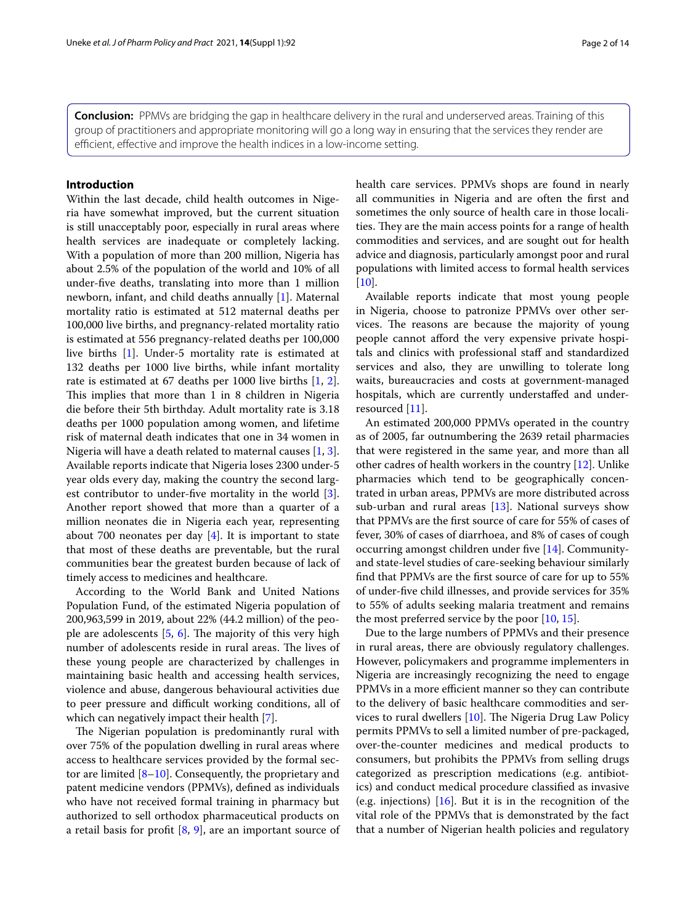**Conclusion:** PPMVs are bridging the gap in healthcare delivery in the rural and underserved areas. Training of this group of practitioners and appropriate monitoring will go a long way in ensuring that the services they render are efficient, effective and improve the health indices in a low-income setting.

# **Introduction**

Within the last decade, child health outcomes in Nigeria have somewhat improved, but the current situation is still unacceptably poor, especially in rural areas where health services are inadequate or completely lacking. With a population of more than 200 million, Nigeria has about 2.5% of the population of the world and 10% of all under-fve deaths, translating into more than 1 million newborn, infant, and child deaths annually [[1\]](#page-12-0). Maternal mortality ratio is estimated at 512 maternal deaths per 100,000 live births, and pregnancy-related mortality ratio is estimated at 556 pregnancy-related deaths per 100,000 live births [\[1](#page-12-0)]. Under-5 mortality rate is estimated at 132 deaths per 1000 live births, while infant mortality rate is estimated at 67 deaths per 1000 live births [[1,](#page-12-0) [2](#page-12-1)]. This implies that more than 1 in 8 children in Nigeria die before their 5th birthday. Adult mortality rate is 3.18 deaths per 1000 population among women, and lifetime risk of maternal death indicates that one in 34 women in Nigeria will have a death related to maternal causes [[1,](#page-12-0) [3](#page-12-2)]. Available reports indicate that Nigeria loses 2300 under-5 year olds every day, making the country the second largest contributor to under-fve mortality in the world [\[3](#page-12-2)]. Another report showed that more than a quarter of a million neonates die in Nigeria each year, representing about 700 neonates per day [\[4](#page-12-3)]. It is important to state that most of these deaths are preventable, but the rural communities bear the greatest burden because of lack of timely access to medicines and healthcare.

According to the World Bank and United Nations Population Fund, of the estimated Nigeria population of 200,963,599 in 2019, about 22% (44.2 million) of the people are adolescents  $[5, 6]$  $[5, 6]$  $[5, 6]$  $[5, 6]$ . The majority of this very high number of adolescents reside in rural areas. The lives of these young people are characterized by challenges in maintaining basic health and accessing health services, violence and abuse, dangerous behavioural activities due to peer pressure and difficult working conditions, all of which can negatively impact their health [\[7](#page-12-6)].

The Nigerian population is predominantly rural with over 75% of the population dwelling in rural areas where access to healthcare services provided by the formal sector are limited [\[8](#page-12-7)[–10\]](#page-12-8). Consequently, the proprietary and patent medicine vendors (PPMVs), defned as individuals who have not received formal training in pharmacy but authorized to sell orthodox pharmaceutical products on a retail basis for profit  $[8, 9]$  $[8, 9]$  $[8, 9]$  $[8, 9]$ , are an important source of health care services. PPMVs shops are found in nearly all communities in Nigeria and are often the frst and sometimes the only source of health care in those localities. They are the main access points for a range of health commodities and services, and are sought out for health advice and diagnosis, particularly amongst poor and rural populations with limited access to formal health services [[10\]](#page-12-8).

Available reports indicate that most young people in Nigeria, choose to patronize PPMVs over other services. The reasons are because the majority of young people cannot afford the very expensive private hospitals and clinics with professional staf and standardized services and also, they are unwilling to tolerate long waits, bureaucracies and costs at government-managed hospitals, which are currently understafed and underresourced [[11\]](#page-12-10).

An estimated 200,000 PPMVs operated in the country as of 2005, far outnumbering the 2639 retail pharmacies that were registered in the same year, and more than all other cadres of health workers in the country [\[12\]](#page-12-11). Unlike pharmacies which tend to be geographically concentrated in urban areas, PPMVs are more distributed across sub-urban and rural areas  $[13]$  $[13]$ . National surveys show that PPMVs are the frst source of care for 55% of cases of fever, 30% of cases of diarrhoea, and 8% of cases of cough occurring amongst children under fve [[14\]](#page-12-13). Communityand state-level studies of care-seeking behaviour similarly fnd that PPMVs are the frst source of care for up to 55% of under-fve child illnesses, and provide services for 35% to 55% of adults seeking malaria treatment and remains the most preferred service by the poor [\[10](#page-12-8), [15\]](#page-12-14).

Due to the large numbers of PPMVs and their presence in rural areas, there are obviously regulatory challenges. However, policymakers and programme implementers in Nigeria are increasingly recognizing the need to engage PPMVs in a more efficient manner so they can contribute to the delivery of basic healthcare commodities and services to rural dwellers  $[10]$  $[10]$ . The Nigeria Drug Law Policy permits PPMVs to sell a limited number of pre-packaged, over-the-counter medicines and medical products to consumers, but prohibits the PPMVs from selling drugs categorized as prescription medications (e.g. antibiotics) and conduct medical procedure classifed as invasive (e.g. injections) [[16\]](#page-12-15). But it is in the recognition of the vital role of the PPMVs that is demonstrated by the fact that a number of Nigerian health policies and regulatory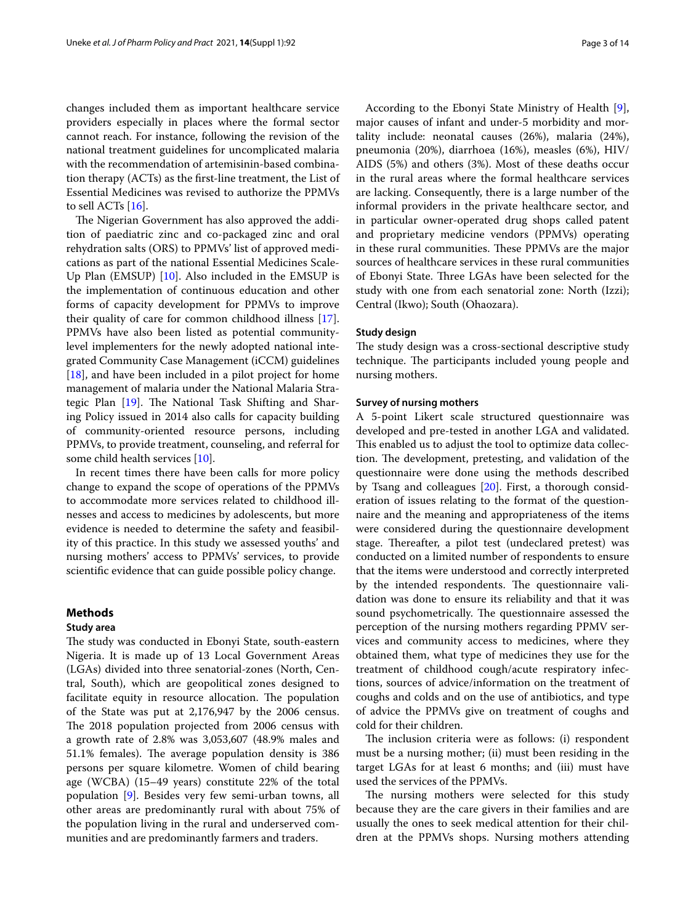changes included them as important healthcare service providers especially in places where the formal sector cannot reach. For instance, following the revision of the national treatment guidelines for uncomplicated malaria with the recommendation of artemisinin-based combination therapy (ACTs) as the frst-line treatment, the List of Essential Medicines was revised to authorize the PPMVs to sell ACTs [[16\]](#page-12-15).

The Nigerian Government has also approved the addition of paediatric zinc and co-packaged zinc and oral rehydration salts (ORS) to PPMVs' list of approved medications as part of the national Essential Medicines Scale-Up Plan (EMSUP) [[10\]](#page-12-8). Also included in the EMSUP is the implementation of continuous education and other forms of capacity development for PPMVs to improve their quality of care for common childhood illness [\[17](#page-12-16)]. PPMVs have also been listed as potential communitylevel implementers for the newly adopted national integrated Community Case Management (iCCM) guidelines [[18\]](#page-12-17), and have been included in a pilot project for home management of malaria under the National Malaria Strategic Plan  $[19]$  $[19]$ . The National Task Shifting and Sharing Policy issued in 2014 also calls for capacity building of community-oriented resource persons, including PPMVs, to provide treatment, counseling, and referral for some child health services [[10\]](#page-12-8).

In recent times there have been calls for more policy change to expand the scope of operations of the PPMVs to accommodate more services related to childhood illnesses and access to medicines by adolescents, but more evidence is needed to determine the safety and feasibility of this practice. In this study we assessed youths' and nursing mothers' access to PPMVs' services, to provide scientifc evidence that can guide possible policy change.

# **Methods**

# **Study area**

The study was conducted in Ebonyi State, south-eastern Nigeria. It is made up of 13 Local Government Areas (LGAs) divided into three senatorial-zones (North, Central, South), which are geopolitical zones designed to facilitate equity in resource allocation. The population of the State was put at 2,176,947 by the 2006 census. The 2018 population projected from 2006 census with a growth rate of 2.8% was 3,053,607 (48.9% males and 51.1% females). The average population density is 386 persons per square kilometre. Women of child bearing age (WCBA) (15–49 years) constitute 22% of the total population [[9\]](#page-12-9). Besides very few semi-urban towns, all other areas are predominantly rural with about 75% of the population living in the rural and underserved communities and are predominantly farmers and traders.

According to the Ebonyi State Ministry of Health [\[9](#page-12-9)], major causes of infant and under-5 morbidity and mortality include: neonatal causes (26%), malaria (24%), pneumonia (20%), diarrhoea (16%), measles (6%), HIV/ AIDS (5%) and others (3%). Most of these deaths occur in the rural areas where the formal healthcare services are lacking. Consequently, there is a large number of the informal providers in the private healthcare sector, and in particular owner-operated drug shops called patent and proprietary medicine vendors (PPMVs) operating in these rural communities. These PPMVs are the major sources of healthcare services in these rural communities of Ebonyi State. Three LGAs have been selected for the study with one from each senatorial zone: North (Izzi); Central (Ikwo); South (Ohaozara).

# **Study design**

The study design was a cross-sectional descriptive study technique. The participants included young people and nursing mothers.

# **Survey of nursing mothers**

A 5-point Likert scale structured questionnaire was developed and pre-tested in another LGA and validated. This enabled us to adjust the tool to optimize data collection. The development, pretesting, and validation of the questionnaire were done using the methods described by Tsang and colleagues [\[20](#page-12-19)]. First, a thorough consideration of issues relating to the format of the questionnaire and the meaning and appropriateness of the items were considered during the questionnaire development stage. Thereafter, a pilot test (undeclared pretest) was conducted on a limited number of respondents to ensure that the items were understood and correctly interpreted by the intended respondents. The questionnaire validation was done to ensure its reliability and that it was sound psychometrically. The questionnaire assessed the perception of the nursing mothers regarding PPMV services and community access to medicines, where they obtained them, what type of medicines they use for the treatment of childhood cough/acute respiratory infections, sources of advice/information on the treatment of coughs and colds and on the use of antibiotics, and type of advice the PPMVs give on treatment of coughs and cold for their children.

The inclusion criteria were as follows: (i) respondent must be a nursing mother; (ii) must been residing in the target LGAs for at least 6 months; and (iii) must have used the services of the PPMVs.

The nursing mothers were selected for this study because they are the care givers in their families and are usually the ones to seek medical attention for their children at the PPMVs shops. Nursing mothers attending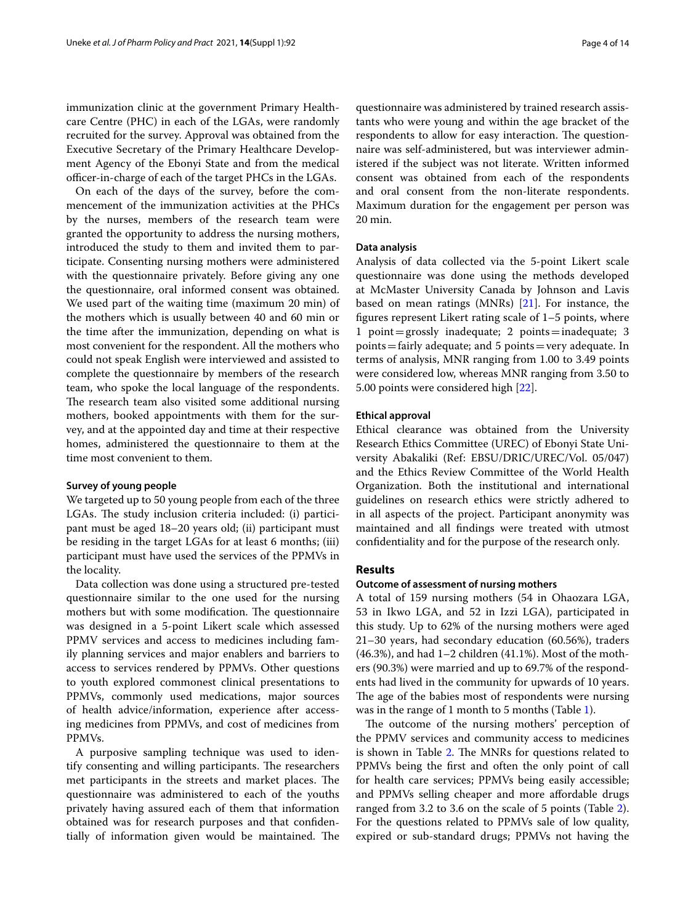immunization clinic at the government Primary Healthcare Centre (PHC) in each of the LGAs, were randomly recruited for the survey. Approval was obtained from the Executive Secretary of the Primary Healthcare Development Agency of the Ebonyi State and from the medical officer-in-charge of each of the target PHCs in the LGAs.

On each of the days of the survey, before the commencement of the immunization activities at the PHCs by the nurses, members of the research team were granted the opportunity to address the nursing mothers, introduced the study to them and invited them to participate. Consenting nursing mothers were administered with the questionnaire privately. Before giving any one the questionnaire, oral informed consent was obtained. We used part of the waiting time (maximum 20 min) of the mothers which is usually between 40 and 60 min or the time after the immunization, depending on what is most convenient for the respondent. All the mothers who could not speak English were interviewed and assisted to complete the questionnaire by members of the research team, who spoke the local language of the respondents. The research team also visited some additional nursing mothers, booked appointments with them for the survey, and at the appointed day and time at their respective homes, administered the questionnaire to them at the time most convenient to them.

# **Survey of young people**

We targeted up to 50 young people from each of the three LGAs. The study inclusion criteria included: (i) participant must be aged 18–20 years old; (ii) participant must be residing in the target LGAs for at least 6 months; (iii) participant must have used the services of the PPMVs in the locality.

Data collection was done using a structured pre-tested questionnaire similar to the one used for the nursing mothers but with some modification. The questionnaire was designed in a 5-point Likert scale which assessed PPMV services and access to medicines including family planning services and major enablers and barriers to access to services rendered by PPMVs. Other questions to youth explored commonest clinical presentations to PPMVs, commonly used medications, major sources of health advice/information, experience after accessing medicines from PPMVs, and cost of medicines from PPMVs.

A purposive sampling technique was used to identify consenting and willing participants. The researchers met participants in the streets and market places. The questionnaire was administered to each of the youths privately having assured each of them that information obtained was for research purposes and that confdentially of information given would be maintained. The

questionnaire was administered by trained research assistants who were young and within the age bracket of the respondents to allow for easy interaction. The questionnaire was self-administered, but was interviewer administered if the subject was not literate. Written informed consent was obtained from each of the respondents and oral consent from the non-literate respondents. Maximum duration for the engagement per person was 20 min.

# **Data analysis**

Analysis of data collected via the 5-point Likert scale questionnaire was done using the methods developed at McMaster University Canada by Johnson and Lavis based on mean ratings (MNRs)  $[21]$  $[21]$ . For instance, the fgures represent Likert rating scale of 1–5 points, where 1 point=grossly inadequate; 2 points=inadequate; 3 points=fairly adequate; and 5 points=very adequate. In terms of analysis, MNR ranging from 1.00 to 3.49 points were considered low, whereas MNR ranging from 3.50 to 5.00 points were considered high [[22](#page-12-21)].

# **Ethical approval**

Ethical clearance was obtained from the University Research Ethics Committee (UREC) of Ebonyi State University Abakaliki (Ref: EBSU/DRIC/UREC/Vol. 05/047) and the Ethics Review Committee of the World Health Organization. Both the institutional and international guidelines on research ethics were strictly adhered to in all aspects of the project. Participant anonymity was maintained and all fndings were treated with utmost confdentiality and for the purpose of the research only.

# **Results**

# **Outcome of assessment of nursing mothers**

A total of 159 nursing mothers (54 in Ohaozara LGA, 53 in Ikwo LGA, and 52 in Izzi LGA), participated in this study. Up to 62% of the nursing mothers were aged 21–30 years, had secondary education (60.56%), traders  $(46.3\%)$ , and had 1–2 children  $(41.1\%)$ . Most of the mothers (90.3%) were married and up to 69.7% of the respondents had lived in the community for upwards of 10 years. The age of the babies most of respondents were nursing was in the range of 1 month to 5 months (Table [1\)](#page-4-0).

The outcome of the nursing mothers' perception of the PPMV services and community access to medicines is shown in Table [2.](#page-5-0) The MNRs for questions related to PPMVs being the frst and often the only point of call for health care services; PPMVs being easily accessible; and PPMVs selling cheaper and more afordable drugs ranged from 3.2 to 3.6 on the scale of 5 points (Table [2](#page-5-0)). For the questions related to PPMVs sale of low quality, expired or sub-standard drugs; PPMVs not having the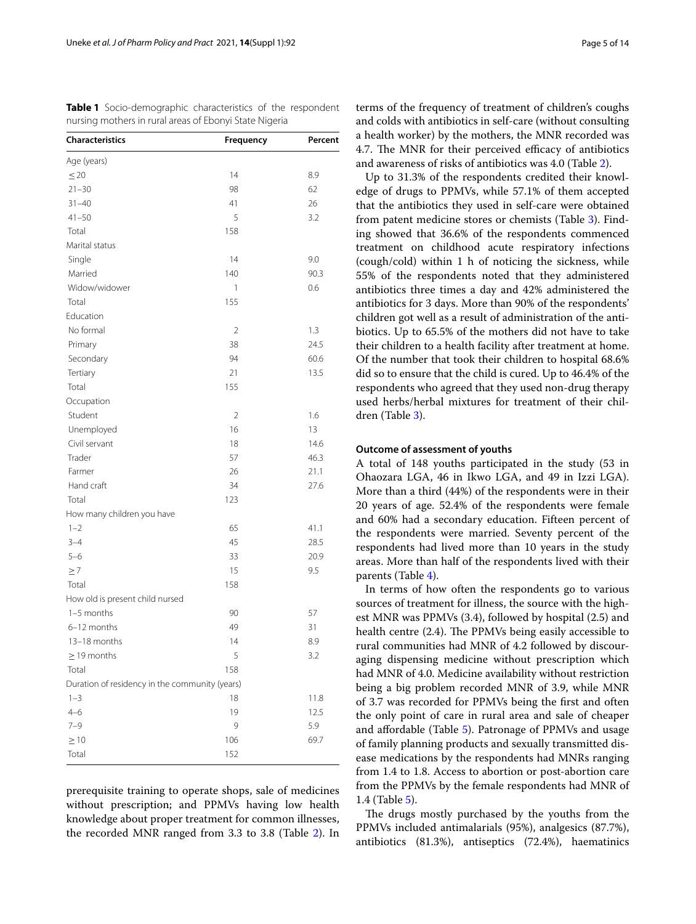<span id="page-4-0"></span>

| <b>Table 1</b> Socio-demographic characteristics of the respondent |  |  |
|--------------------------------------------------------------------|--|--|
| nursing mothers in rural areas of Ebonyi State Nigeria             |  |  |

| <b>Characteristics</b>                         | Frequency      | Percent |
|------------------------------------------------|----------------|---------|
| Age (years)                                    |                |         |
| $\leq$ 20                                      | 14             | 8.9     |
| $21 - 30$                                      | 98             | 62      |
| $31 - 40$                                      | 41             | 26      |
| $41 - 50$                                      | 5              | 3.2     |
| Total                                          | 158            |         |
| Marital status                                 |                |         |
| Single                                         | 14             | 9.0     |
| Married                                        | 140            | 90.3    |
| Widow/widower                                  | 1              | 0.6     |
| Total                                          | 155            |         |
| Education                                      |                |         |
| No formal                                      | $\overline{2}$ | 1.3     |
| Primary                                        | 38             | 24.5    |
| Secondary                                      | 94             | 60.6    |
| Tertiary                                       | 21             | 13.5    |
| Total                                          | 155            |         |
| Occupation                                     |                |         |
| Student                                        | 2              | 1.6     |
| Unemployed                                     | 16             | 13      |
| Civil servant                                  | 18             | 14.6    |
| Trader                                         | 57             | 46.3    |
| Farmer                                         | 26             | 21.1    |
| Hand craft                                     | 34             | 27.6    |
| Total                                          | 123            |         |
| How many children you have                     |                |         |
| $1 - 2$                                        | 65             | 41.1    |
| $3 - 4$                                        | 45             | 28.5    |
| $5 - 6$                                        | 33             | 20.9    |
| $\geq 7$                                       | 15             | 9.5     |
| Total                                          | 158            |         |
| How old is present child nursed                |                |         |
| 1-5 months                                     | 90             | 57      |
| 6-12 months                                    | 49             | 31      |
| 13-18 months                                   | 14             | 8.9     |
| $\geq$ 19 months                               | 5              | 3.2     |
| Total                                          | 158            |         |
| Duration of residency in the community (years) |                |         |
| $1 - 3$                                        | 18             | 11.8    |
| $4 - 6$                                        | 19             | 12.5    |
| 7–9                                            | 9              | 5.9     |
| $\geq 10$                                      | 106            | 69.7    |
| Total                                          | 152            |         |
|                                                |                |         |

prerequisite training to operate shops, sale of medicines without prescription; and PPMVs having low health knowledge about proper treatment for common illnesses, the recorded MNR ranged from 3.3 to 3.8 (Table [2\)](#page-5-0). In terms of the frequency of treatment of children's coughs and colds with antibiotics in self-care (without consulting a health worker) by the mothers, the MNR recorded was 4.7. The MNR for their perceived efficacy of antibiotics and awareness of risks of antibiotics was 4.0 (Table [2](#page-5-0)).

Up to 31.3% of the respondents credited their knowledge of drugs to PPMVs, while 57.1% of them accepted that the antibiotics they used in self-care were obtained from patent medicine stores or chemists (Table [3](#page-6-0)). Finding showed that 36.6% of the respondents commenced treatment on childhood acute respiratory infections (cough/cold) within 1 h of noticing the sickness, while 55% of the respondents noted that they administered antibiotics three times a day and 42% administered the antibiotics for 3 days. More than 90% of the respondents' children got well as a result of administration of the antibiotics. Up to 65.5% of the mothers did not have to take their children to a health facility after treatment at home. Of the number that took their children to hospital 68.6% did so to ensure that the child is cured. Up to 46.4% of the respondents who agreed that they used non-drug therapy used herbs/herbal mixtures for treatment of their children (Table [3\)](#page-6-0).

# **Outcome of assessment of youths**

A total of 148 youths participated in the study (53 in Ohaozara LGA, 46 in Ikwo LGA, and 49 in Izzi LGA). More than a third (44%) of the respondents were in their 20 years of age. 52.4% of the respondents were female and 60% had a secondary education. Fifteen percent of the respondents were married. Seventy percent of the respondents had lived more than 10 years in the study areas. More than half of the respondents lived with their parents (Table [4](#page-8-0)).

In terms of how often the respondents go to various sources of treatment for illness, the source with the highest MNR was PPMVs (3.4), followed by hospital (2.5) and health centre (2.4). The PPMVs being easily accessible to rural communities had MNR of 4.2 followed by discouraging dispensing medicine without prescription which had MNR of 4.0. Medicine availability without restriction being a big problem recorded MNR of 3.9, while MNR of 3.7 was recorded for PPMVs being the frst and often the only point of care in rural area and sale of cheaper and afordable (Table [5\)](#page-9-0). Patronage of PPMVs and usage of family planning products and sexually transmitted disease medications by the respondents had MNRs ranging from 1.4 to 1.8. Access to abortion or post-abortion care from the PPMVs by the female respondents had MNR of 1.4 (Table [5\)](#page-9-0).

The drugs mostly purchased by the youths from the PPMVs included antimalarials (95%), analgesics (87.7%), antibiotics (81.3%), antiseptics (72.4%), haematinics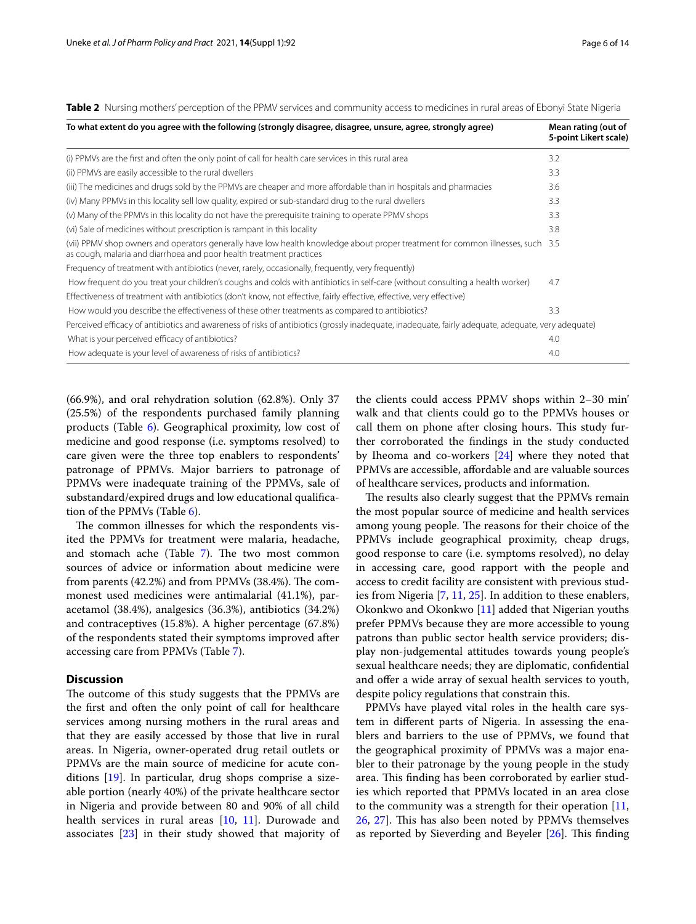| To what extent do you agree with the following (strongly disagree, disagree, unsure, agree, strongly agree)                                                                                           | Mean rating (out of<br>5-point Likert scale) |
|-------------------------------------------------------------------------------------------------------------------------------------------------------------------------------------------------------|----------------------------------------------|
| (i) PPMVs are the first and often the only point of call for health care services in this rural area                                                                                                  | 3.2                                          |
| (ii) PPMVs are easily accessible to the rural dwellers                                                                                                                                                | 3.3                                          |
| (iii) The medicines and drugs sold by the PPMVs are cheaper and more affordable than in hospitals and pharmacies                                                                                      | 3.6                                          |
| (iv) Many PPMVs in this locality sell low quality, expired or sub-standard drug to the rural dwellers                                                                                                 | 3.3                                          |
| (v) Many of the PPMVs in this locality do not have the prerequisite training to operate PPMV shops                                                                                                    | 3.3                                          |
| (vi) Sale of medicines without prescription is rampant in this locality                                                                                                                               | 3.8                                          |
| (vii) PPMV shop owners and operators generally have low health knowledge about proper treatment for common illnesses, such 3.5<br>as cough, malaria and diarrhoea and poor health treatment practices |                                              |
| Frequency of treatment with antibiotics (never, rarely, occasionally, frequently, very frequently)                                                                                                    |                                              |
| How frequent do you treat your children's coughs and colds with antibiotics in self-care (without consulting a health worker)                                                                         | 4.7                                          |
| Effectiveness of treatment with antibiotics (don't know, not effective, fairly effective, effective, very effective)                                                                                  |                                              |
| How would you describe the effectiveness of these other treatments as compared to antibiotics?                                                                                                        | 3.3                                          |
| Perceived efficacy of antibiotics and awareness of risks of antibiotics (grossly inadequate, inadequate, fairly adequate, adequate, very adequate)                                                    |                                              |
| What is your perceived efficacy of antibiotics?                                                                                                                                                       | 4.0                                          |
| How adequate is your level of awareness of risks of antibiotics?                                                                                                                                      | 4.0                                          |

<span id="page-5-0"></span>**Table 2** Nursing mothers' perception of the PPMV services and community access to medicines in rural areas of Ebonyi State Nigeria

(66.9%), and oral rehydration solution (62.8%). Only 37 (25.5%) of the respondents purchased family planning products (Table [6\)](#page-10-0). Geographical proximity, low cost of medicine and good response (i.e. symptoms resolved) to care given were the three top enablers to respondents' patronage of PPMVs. Major barriers to patronage of PPMVs were inadequate training of the PPMVs, sale of substandard/expired drugs and low educational qualifcation of the PPMVs (Table [6](#page-10-0)).

The common illnesses for which the respondents visited the PPMVs for treatment were malaria, headache, and stomach ache (Table [7\)](#page-10-1). The two most common sources of advice or information about medicine were from parents  $(42.2\%)$  and from PPMVs  $(38.4\%)$ . The commonest used medicines were antimalarial (41.1%), paracetamol (38.4%), analgesics (36.3%), antibiotics (34.2%) and contraceptives (15.8%). A higher percentage (67.8%) of the respondents stated their symptoms improved after accessing care from PPMVs (Table [7](#page-10-1)).

# **Discussion**

The outcome of this study suggests that the PPMVs are the frst and often the only point of call for healthcare services among nursing mothers in the rural areas and that they are easily accessed by those that live in rural areas. In Nigeria, owner-operated drug retail outlets or PPMVs are the main source of medicine for acute conditions [\[19](#page-12-18)]. In particular, drug shops comprise a sizeable portion (nearly 40%) of the private healthcare sector in Nigeria and provide between 80 and 90% of all child health services in rural areas [[10,](#page-12-8) [11\]](#page-12-10). Durowade and associates [\[23\]](#page-12-22) in their study showed that majority of

the clients could access PPMV shops within 2–30 min' walk and that clients could go to the PPMVs houses or call them on phone after closing hours. This study further corroborated the fndings in the study conducted by Iheoma and co-workers [\[24](#page-12-23)] where they noted that PPMVs are accessible, afordable and are valuable sources of healthcare services, products and information.

The results also clearly suggest that the PPMVs remain the most popular source of medicine and health services among young people. The reasons for their choice of the PPMVs include geographical proximity, cheap drugs, good response to care (i.e. symptoms resolved), no delay in accessing care, good rapport with the people and access to credit facility are consistent with previous studies from Nigeria [[7,](#page-12-6) [11,](#page-12-10) [25](#page-12-24)]. In addition to these enablers, Okonkwo and Okonkwo [\[11](#page-12-10)] added that Nigerian youths prefer PPMVs because they are more accessible to young patrons than public sector health service providers; display non-judgemental attitudes towards young people's sexual healthcare needs; they are diplomatic, confdential and offer a wide array of sexual health services to youth, despite policy regulations that constrain this.

PPMVs have played vital roles in the health care system in diferent parts of Nigeria. In assessing the enablers and barriers to the use of PPMVs, we found that the geographical proximity of PPMVs was a major enabler to their patronage by the young people in the study area. This finding has been corroborated by earlier studies which reported that PPMVs located in an area close to the community was a strength for their operation  $[11,$  $[11,$  $[11,$ [26,](#page-12-25) [27](#page-12-26)]. This has also been noted by PPMVs themselves as reported by Sieverding and Beyeler  $[26]$  $[26]$ . This finding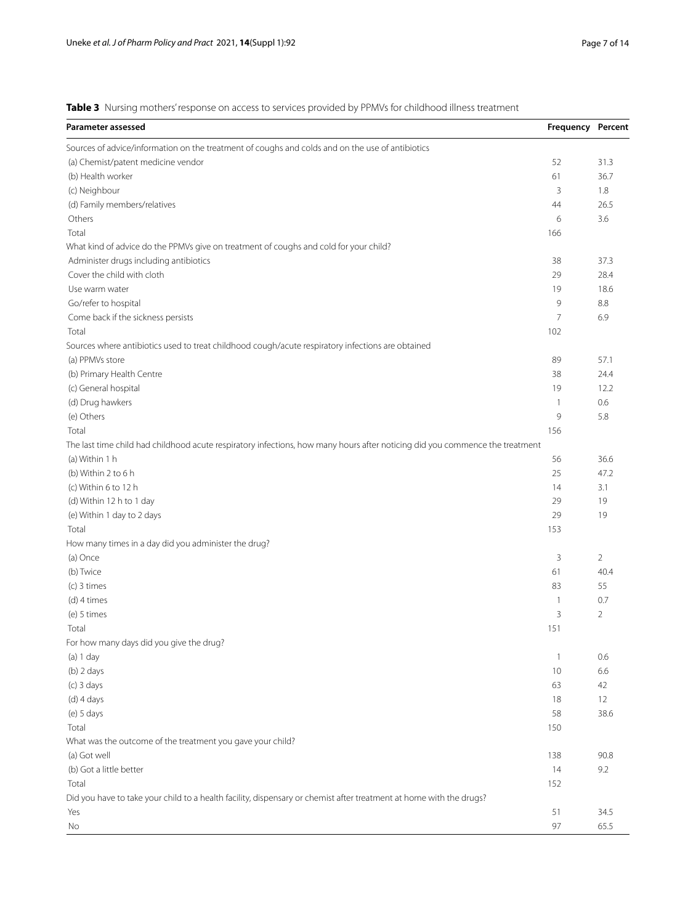<span id="page-6-0"></span>**Table 3** Nursing mothers' response on access to services provided by PPMVs for childhood illness treatment

| Parameter assessed                                                                                                           | Frequency Percent |                |
|------------------------------------------------------------------------------------------------------------------------------|-------------------|----------------|
| Sources of advice/information on the treatment of coughs and colds and on the use of antibiotics                             |                   |                |
| (a) Chemist/patent medicine vendor                                                                                           | 52                | 31.3           |
| (b) Health worker                                                                                                            | 61                | 36.7           |
| (c) Neighbour                                                                                                                | 3                 | 1.8            |
| (d) Family members/relatives                                                                                                 | 44                | 26.5           |
| Others                                                                                                                       | 6                 | 3.6            |
| Total                                                                                                                        | 166               |                |
| What kind of advice do the PPMVs give on treatment of coughs and cold for your child?                                        |                   |                |
| Administer drugs including antibiotics                                                                                       | 38                | 37.3           |
| Cover the child with cloth                                                                                                   | 29                | 28.4           |
| Use warm water                                                                                                               | 19                | 18.6           |
| Go/refer to hospital                                                                                                         | 9                 | 8.8            |
| Come back if the sickness persists                                                                                           | $\overline{7}$    | 6.9            |
| Total                                                                                                                        | 102               |                |
| Sources where antibiotics used to treat childhood cough/acute respiratory infections are obtained                            |                   |                |
| (a) PPMVs store                                                                                                              | 89                | 57.1           |
| (b) Primary Health Centre                                                                                                    | 38                | 24.4           |
| (c) General hospital                                                                                                         | 19                | 12.2           |
| (d) Drug hawkers                                                                                                             | $\mathbf{1}$      | 0.6            |
| (e) Others                                                                                                                   | 9                 | 5.8            |
| Total                                                                                                                        | 156               |                |
| The last time child had childhood acute respiratory infections, how many hours after noticing did you commence the treatment |                   |                |
| (a) Within 1 h                                                                                                               | 56                | 36.6           |
| (b) Within 2 to 6 h                                                                                                          | 25                | 47.2           |
| (c) Within 6 to 12 h                                                                                                         | 14                | 3.1            |
| (d) Within 12 h to 1 day                                                                                                     | 29                | 19             |
| (e) Within 1 day to 2 days                                                                                                   | 29                | 19             |
| Total                                                                                                                        | 153               |                |
| How many times in a day did you administer the drug?                                                                         |                   |                |
| (a) Once                                                                                                                     | 3                 | 2              |
| (b) Twice                                                                                                                    | 61                | 40.4           |
| $(c)$ 3 times                                                                                                                | 83                | 55             |
| (d) 4 times                                                                                                                  | $\mathbf{1}$      | 0.7            |
| (e) 5 times                                                                                                                  | 3                 | $\overline{2}$ |
| Total                                                                                                                        | 151               |                |
| For how many days did you give the drug?                                                                                     |                   |                |
| (a) 1 day                                                                                                                    | $\mathbf{1}$      | 0.6            |
| $(b)$ 2 days                                                                                                                 | 10                | 6.6            |
| $(c)$ 3 days                                                                                                                 | 63                | 42             |
| $(d)$ 4 days                                                                                                                 | 18                | 12             |
| $(e)$ 5 days                                                                                                                 | 58                | 38.6           |
| Total                                                                                                                        | 150               |                |
|                                                                                                                              |                   |                |
| What was the outcome of the treatment you gave your child?                                                                   |                   |                |
| (a) Got well                                                                                                                 | 138               | 90.8           |
| (b) Got a little better                                                                                                      | 14                | 9.2            |
| Total                                                                                                                        | 152               |                |
| Did you have to take your child to a health facility, dispensary or chemist after treatment at home with the drugs?          |                   |                |
| Yes                                                                                                                          | 51                | 34.5           |
| No                                                                                                                           | 97                | 65.5           |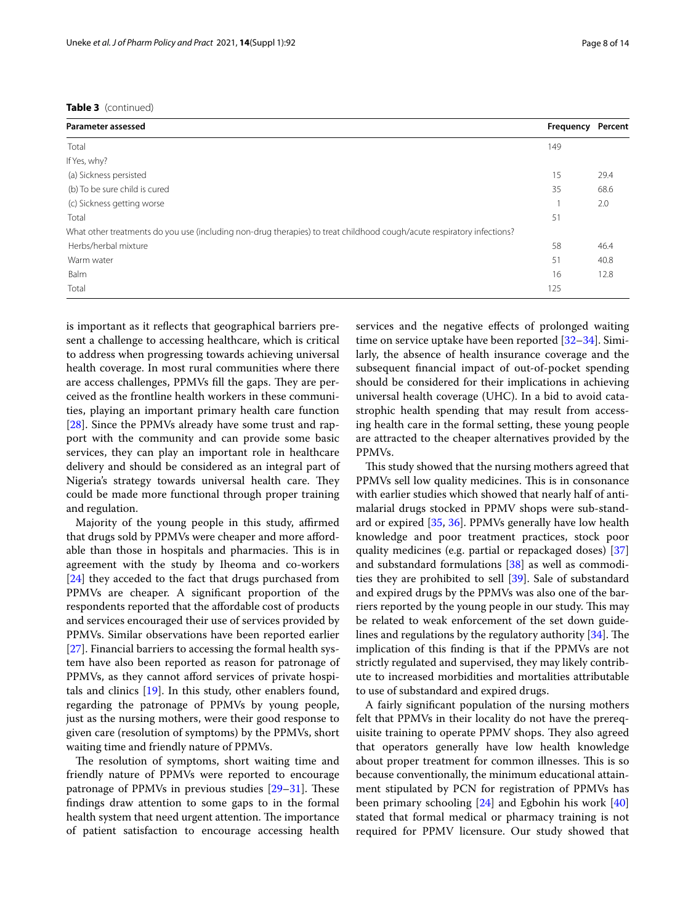| <b>Parameter assessed</b>                                                                                              | Frequency | Percent |
|------------------------------------------------------------------------------------------------------------------------|-----------|---------|
| Total                                                                                                                  | 149       |         |
| If Yes, why?                                                                                                           |           |         |
| (a) Sickness persisted                                                                                                 | 15        | 29.4    |
| (b) To be sure child is cured                                                                                          | 35        | 68.6    |
| (c) Sickness getting worse                                                                                             |           | 2.0     |
| Total                                                                                                                  | 51        |         |
| What other treatments do you use (including non-drug therapies) to treat childhood cough/acute respiratory infections? |           |         |
| Herbs/herbal mixture                                                                                                   | 58        | 46.4    |
| Warm water                                                                                                             | 51        | 40.8    |
| <b>Balm</b>                                                                                                            | 16        | 12.8    |
| Total                                                                                                                  | 125       |         |

is important as it refects that geographical barriers present a challenge to accessing healthcare, which is critical to address when progressing towards achieving universal health coverage. In most rural communities where there are access challenges, PPMVs fill the gaps. They are perceived as the frontline health workers in these communities, playing an important primary health care function [[28\]](#page-12-27). Since the PPMVs already have some trust and rapport with the community and can provide some basic services, they can play an important role in healthcare delivery and should be considered as an integral part of Nigeria's strategy towards universal health care. They could be made more functional through proper training and regulation.

Majority of the young people in this study, affirmed that drugs sold by PPMVs were cheaper and more afordable than those in hospitals and pharmacies. This is in agreement with the study by Iheoma and co-workers [[24\]](#page-12-23) they acceded to the fact that drugs purchased from PPMVs are cheaper. A signifcant proportion of the respondents reported that the afordable cost of products and services encouraged their use of services provided by PPMVs. Similar observations have been reported earlier [[27\]](#page-12-26). Financial barriers to accessing the formal health system have also been reported as reason for patronage of PPMVs, as they cannot afford services of private hospitals and clinics [\[19](#page-12-18)]. In this study, other enablers found, regarding the patronage of PPMVs by young people, just as the nursing mothers, were their good response to given care (resolution of symptoms) by the PPMVs, short waiting time and friendly nature of PPMVs.

The resolution of symptoms, short waiting time and friendly nature of PPMVs were reported to encourage patronage of PPMVs in previous studies [\[29](#page-12-28)-[31\]](#page-12-29). These fndings draw attention to some gaps to in the formal health system that need urgent attention. The importance of patient satisfaction to encourage accessing health services and the negative efects of prolonged waiting time on service uptake have been reported [\[32](#page-12-30)–[34\]](#page-12-31). Similarly, the absence of health insurance coverage and the subsequent fnancial impact of out-of-pocket spending should be considered for their implications in achieving universal health coverage (UHC). In a bid to avoid catastrophic health spending that may result from accessing health care in the formal setting, these young people are attracted to the cheaper alternatives provided by the PPMVs.

This study showed that the nursing mothers agreed that PPMVs sell low quality medicines. This is in consonance with earlier studies which showed that nearly half of antimalarial drugs stocked in PPMV shops were sub-standard or expired [\[35,](#page-12-32) [36\]](#page-12-33). PPMVs generally have low health knowledge and poor treatment practices, stock poor quality medicines (e.g. partial or repackaged doses) [[37](#page-12-34)] and substandard formulations [\[38\]](#page-12-35) as well as commodities they are prohibited to sell [\[39\]](#page-12-36). Sale of substandard and expired drugs by the PPMVs was also one of the barriers reported by the young people in our study. This may be related to weak enforcement of the set down guidelines and regulations by the regulatory authority  $[34]$  $[34]$ . The implication of this fnding is that if the PPMVs are not strictly regulated and supervised, they may likely contribute to increased morbidities and mortalities attributable to use of substandard and expired drugs.

A fairly signifcant population of the nursing mothers felt that PPMVs in their locality do not have the prerequisite training to operate PPMV shops. They also agreed that operators generally have low health knowledge about proper treatment for common illnesses. This is so because conventionally, the minimum educational attainment stipulated by PCN for registration of PPMVs has been primary schooling [\[24](#page-12-23)] and Egbohin his work [[40](#page-12-37)] stated that formal medical or pharmacy training is not required for PPMV licensure. Our study showed that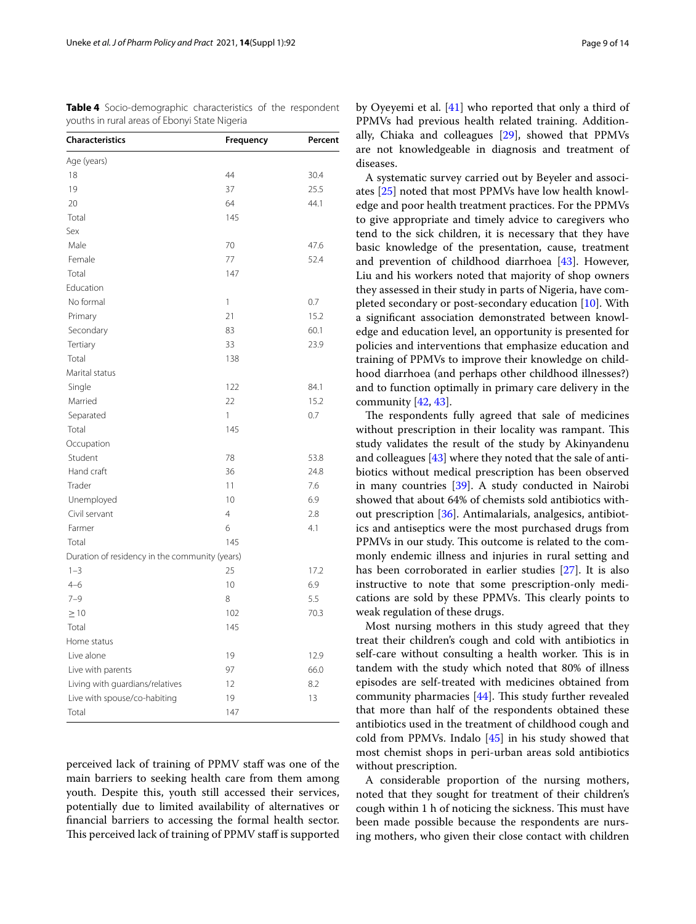<span id="page-8-0"></span>

| <b>Table 4</b> Socio-demographic characteristics of the respondent |  |  |
|--------------------------------------------------------------------|--|--|
| youths in rural areas of Ebonyi State Nigeria                      |  |  |

| <b>Characteristics</b>                         | Frequency      | Percent |
|------------------------------------------------|----------------|---------|
| Age (years)                                    |                |         |
| 18                                             | 44             | 30.4    |
| 19                                             | 37             | 25.5    |
| 20                                             | 64             | 44.1    |
| Total                                          | 145            |         |
| Sex                                            |                |         |
| Male                                           | 70             | 47.6    |
| Female                                         | 77             | 52.4    |
| Total                                          | 147            |         |
| Education                                      |                |         |
| No formal                                      | 1              | 0.7     |
| Primary                                        | 21             | 15.2    |
| Secondary                                      | 83             | 60.1    |
| Tertiary                                       | 33             | 23.9    |
| Total                                          | 138            |         |
| Marital status                                 |                |         |
| Single                                         | 122            | 84.1    |
| Married                                        | 22             | 15.2    |
| Separated                                      | 1              | 0.7     |
| Total                                          | 145            |         |
| Occupation                                     |                |         |
| Student                                        | 78             | 53.8    |
| Hand craft                                     | 36             | 24.8    |
| Trader                                         | 11             | 7.6     |
| Unemployed                                     | 10             | 6.9     |
| Civil servant                                  | $\overline{4}$ | 2.8     |
| Farmer                                         | 6              | 4.1     |
| Total                                          | 145            |         |
| Duration of residency in the community (years) |                |         |
| $1 - 3$                                        | 25             | 17.2    |
| $4 - 6$                                        | 10             | 6.9     |
| $7 - 9$                                        | 8              | 5.5     |
| $\geq 10$                                      | 102            | 70.3    |
| Total                                          | 145            |         |
| Home status                                    |                |         |
| Live alone                                     | 19             | 12.9    |
| Live with parents                              | 97             | 66.0    |
| Living with guardians/relatives                | 12             | 8.2     |
| Live with spouse/co-habiting                   | 19             | 13      |
| Total                                          | 147            |         |

perceived lack of training of PPMV staff was one of the main barriers to seeking health care from them among youth. Despite this, youth still accessed their services, potentially due to limited availability of alternatives or fnancial barriers to accessing the formal health sector. This perceived lack of training of PPMV staff is supported by Oyeyemi et al. [[41\]](#page-12-38) who reported that only a third of PPMVs had previous health related training. Additionally, Chiaka and colleagues [\[29](#page-12-28)], showed that PPMVs are not knowledgeable in diagnosis and treatment of diseases.

A systematic survey carried out by Beyeler and associates [\[25](#page-12-24)] noted that most PPMVs have low health knowledge and poor health treatment practices. For the PPMVs to give appropriate and timely advice to caregivers who tend to the sick children, it is necessary that they have basic knowledge of the presentation, cause, treatment and prevention of childhood diarrhoea [\[43\]](#page-12-39). However, Liu and his workers noted that majority of shop owners they assessed in their study in parts of Nigeria, have completed secondary or post-secondary education [\[10\]](#page-12-8). With a signifcant association demonstrated between knowledge and education level, an opportunity is presented for policies and interventions that emphasize education and training of PPMVs to improve their knowledge on childhood diarrhoea (and perhaps other childhood illnesses?) and to function optimally in primary care delivery in the community [\[42](#page-12-40), [43](#page-12-39)].

The respondents fully agreed that sale of medicines without prescription in their locality was rampant. This study validates the result of the study by Akinyandenu and colleagues [[43](#page-12-39)] where they noted that the sale of antibiotics without medical prescription has been observed in many countries [[39\]](#page-12-36). A study conducted in Nairobi showed that about 64% of chemists sold antibiotics without prescription [[36\]](#page-12-33). Antimalarials, analgesics, antibiotics and antiseptics were the most purchased drugs from PPMVs in our study. This outcome is related to the commonly endemic illness and injuries in rural setting and has been corroborated in earlier studies [\[27](#page-12-26)]. It is also instructive to note that some prescription-only medications are sold by these PPMVs. This clearly points to weak regulation of these drugs.

Most nursing mothers in this study agreed that they treat their children's cough and cold with antibiotics in self-care without consulting a health worker. This is in tandem with the study which noted that 80% of illness episodes are self-treated with medicines obtained from community pharmacies  $[44]$  $[44]$ . This study further revealed that more than half of the respondents obtained these antibiotics used in the treatment of childhood cough and cold from PPMVs. Indalo [\[45](#page-12-42)] in his study showed that most chemist shops in peri-urban areas sold antibiotics without prescription.

A considerable proportion of the nursing mothers, noted that they sought for treatment of their children's cough within 1 h of noticing the sickness. This must have been made possible because the respondents are nursing mothers, who given their close contact with children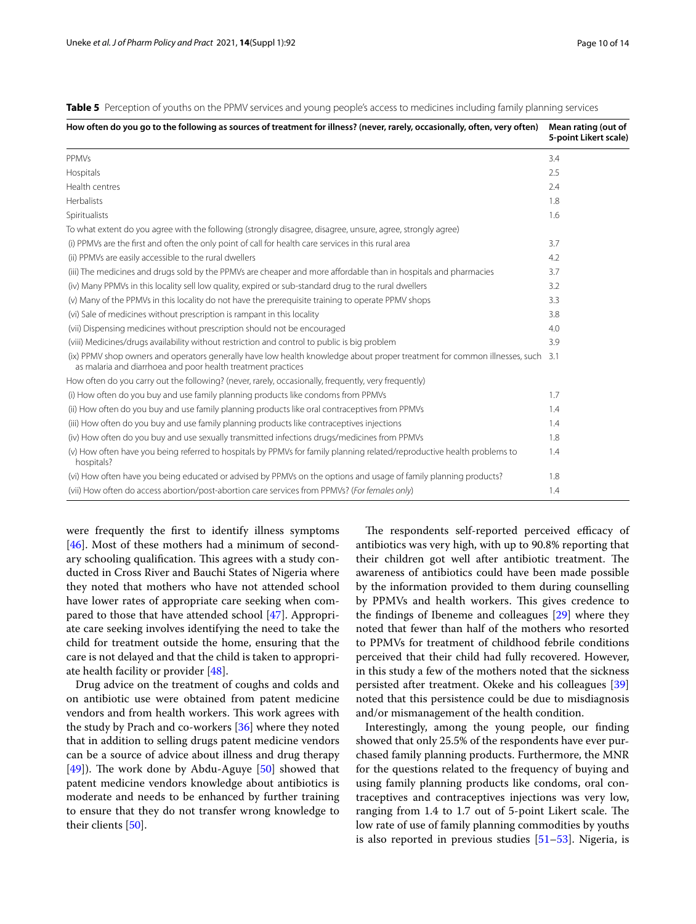<span id="page-9-0"></span>

| Table 5 Perception of youths on the PPMV services and young people's access to medicines including family planning services |  |  |  |  |  |  |  |
|-----------------------------------------------------------------------------------------------------------------------------|--|--|--|--|--|--|--|
|                                                                                                                             |  |  |  |  |  |  |  |
|                                                                                                                             |  |  |  |  |  |  |  |

| How often do you go to the following as sources of treatment for illness? (never, rarely, occasionally, often, very often)                                                                    | Mean rating (out of<br>5-point Likert scale) |
|-----------------------------------------------------------------------------------------------------------------------------------------------------------------------------------------------|----------------------------------------------|
| <b>PPMVs</b>                                                                                                                                                                                  | 3.4                                          |
| Hospitals                                                                                                                                                                                     | 2.5                                          |
| Health centres                                                                                                                                                                                | 2.4                                          |
| <b>Herbalists</b>                                                                                                                                                                             | 1.8                                          |
| Spiritualists                                                                                                                                                                                 | 1.6                                          |
| To what extent do you agree with the following (strongly disagree, disagree, unsure, agree, strongly agree)                                                                                   |                                              |
| (i) PPMVs are the first and often the only point of call for health care services in this rural area                                                                                          | 3.7                                          |
| (ii) PPMVs are easily accessible to the rural dwellers                                                                                                                                        | 4.2                                          |
| (iii) The medicines and drugs sold by the PPMVs are cheaper and more affordable than in hospitals and pharmacies                                                                              | 3.7                                          |
| (iv) Many PPMVs in this locality sell low quality, expired or sub-standard drug to the rural dwellers                                                                                         | 3.2                                          |
| (v) Many of the PPMVs in this locality do not have the prerequisite training to operate PPMV shops                                                                                            | 3.3                                          |
| (vi) Sale of medicines without prescription is rampant in this locality                                                                                                                       | 3.8                                          |
| (vii) Dispensing medicines without prescription should not be encouraged                                                                                                                      | 4.0                                          |
| (viii) Medicines/drugs availability without restriction and control to public is big problem                                                                                                  | 3.9                                          |
| (ix) PPMV shop owners and operators generally have low health knowledge about proper treatment for common illnesses, such 3.1<br>as malaria and diarrhoea and poor health treatment practices |                                              |
| How often do you carry out the following? (never, rarely, occasionally, frequently, very frequently)                                                                                          |                                              |
| (i) How often do you buy and use family planning products like condoms from PPMVs                                                                                                             | 1.7                                          |
| (ii) How often do you buy and use family planning products like oral contraceptives from PPMVs                                                                                                | 1.4                                          |
| (iii) How often do you buy and use family planning products like contraceptives injections                                                                                                    | 1.4                                          |
| (iv) How often do you buy and use sexually transmitted infections drugs/medicines from PPMVs                                                                                                  | 1.8                                          |
| (v) How often have you being referred to hospitals by PPMVs for family planning related/reproductive health problems to<br>hospitals?                                                         | 1.4                                          |
| (vi) How often have you being educated or advised by PPMVs on the options and usage of family planning products?                                                                              | 1.8                                          |
| (vii) How often do access abortion/post-abortion care services from PPMVs? (For females only)                                                                                                 | 1.4                                          |
|                                                                                                                                                                                               |                                              |

were frequently the frst to identify illness symptoms [[46\]](#page-13-0). Most of these mothers had a minimum of secondary schooling qualification. This agrees with a study conducted in Cross River and Bauchi States of Nigeria where they noted that mothers who have not attended school have lower rates of appropriate care seeking when compared to those that have attended school [[47\]](#page-13-1). Appropriate care seeking involves identifying the need to take the child for treatment outside the home, ensuring that the care is not delayed and that the child is taken to appropriate health facility or provider [\[48](#page-13-2)].

Drug advice on the treatment of coughs and colds and on antibiotic use were obtained from patent medicine vendors and from health workers. This work agrees with the study by Prach and co-workers [[36\]](#page-12-33) where they noted that in addition to selling drugs patent medicine vendors can be a source of advice about illness and drug therapy [[49\]](#page-13-3)). The work done by Abdu-Aguye [[50](#page-13-4)] showed that patent medicine vendors knowledge about antibiotics is moderate and needs to be enhanced by further training to ensure that they do not transfer wrong knowledge to their clients [\[50](#page-13-4)].

The respondents self-reported perceived efficacy of antibiotics was very high, with up to 90.8% reporting that their children got well after antibiotic treatment. The awareness of antibiotics could have been made possible by the information provided to them during counselling by PPMVs and health workers. This gives credence to the fndings of Ibeneme and colleagues [[29\]](#page-12-28) where they noted that fewer than half of the mothers who resorted to PPMVs for treatment of childhood febrile conditions perceived that their child had fully recovered. However, in this study a few of the mothers noted that the sickness persisted after treatment. Okeke and his colleagues [[39](#page-12-36)] noted that this persistence could be due to misdiagnosis and/or mismanagement of the health condition.

Interestingly, among the young people, our fnding showed that only 25.5% of the respondents have ever purchased family planning products. Furthermore, the MNR for the questions related to the frequency of buying and using family planning products like condoms, oral contraceptives and contraceptives injections was very low, ranging from 1.4 to 1.7 out of 5-point Likert scale. The low rate of use of family planning commodities by youths is also reported in previous studies [[51–](#page-13-5)[53](#page-13-6)]. Nigeria, is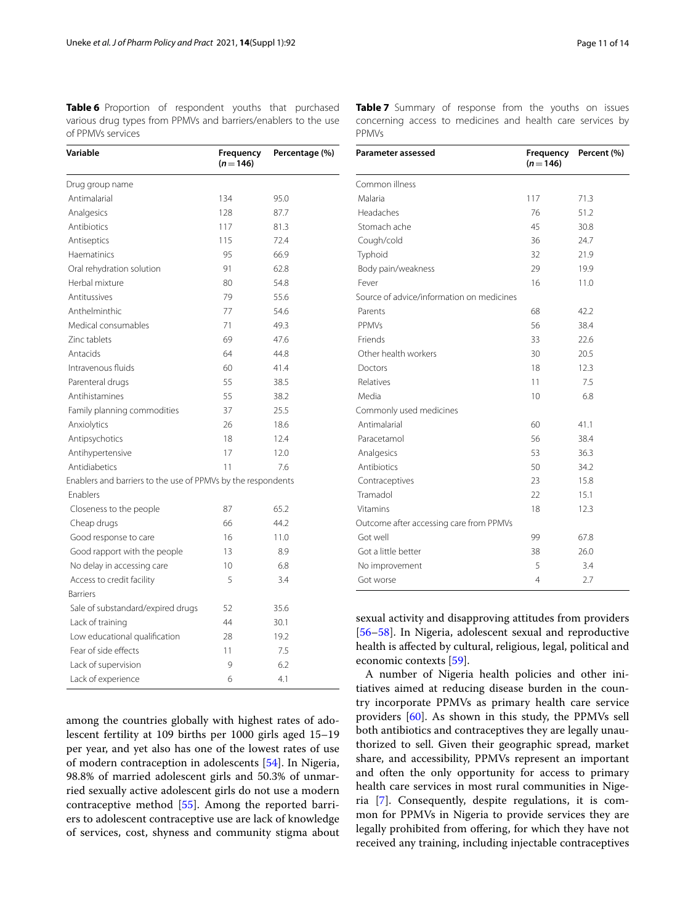<span id="page-10-0"></span>

| Variable                                                     | Frequency<br>$(n=146)$ | Percentage (%) |  |  |
|--------------------------------------------------------------|------------------------|----------------|--|--|
| Drug group name                                              |                        |                |  |  |
| Antimalarial                                                 | 134                    | 95.0           |  |  |
| Analgesics                                                   | 128                    | 87.7           |  |  |
| Antibiotics                                                  | 117                    | 81.3           |  |  |
| Antiseptics                                                  | 115                    | 72.4           |  |  |
| Haematinics                                                  | 95                     | 66.9           |  |  |
| Oral rehydration solution                                    | 91                     | 62.8           |  |  |
| Herbal mixture                                               | 80                     | 54.8           |  |  |
| Antitussives                                                 | 79                     | 55.6           |  |  |
| Anthelminthic                                                | 77                     | 54.6           |  |  |
| Medical consumables                                          | 71                     | 49.3           |  |  |
| Zinc tablets                                                 | 69                     | 47.6           |  |  |
| Antacids                                                     | 64                     | 44.8           |  |  |
| Intravenous fluids                                           | 60                     | 41.4           |  |  |
| Parenteral drugs                                             | 55                     | 38.5           |  |  |
| Antihistamines                                               | 55                     | 38.2           |  |  |
| Family planning commodities                                  | 37                     | 25.5           |  |  |
| Anxiolytics                                                  | 26                     | 18.6           |  |  |
| Antipsychotics                                               | 18                     | 12.4           |  |  |
| Antihypertensive                                             | 17                     | 12.0           |  |  |
| Antidiabetics                                                | 11                     | 7.6            |  |  |
| Enablers and barriers to the use of PPMVs by the respondents |                        |                |  |  |
| Enablers                                                     |                        |                |  |  |
| Closeness to the people                                      | 87                     | 65.2           |  |  |
| Cheap drugs                                                  | 66                     | 44.2           |  |  |
| Good response to care                                        | 16                     | 11.0           |  |  |
| Good rapport with the people                                 | 13                     | 8.9            |  |  |
| No delay in accessing care                                   | 10                     | 6.8            |  |  |
| Access to credit facility                                    | 5                      | 3.4            |  |  |
| <b>Barriers</b>                                              |                        |                |  |  |
| Sale of substandard/expired drugs                            | 52                     | 35.6           |  |  |
| Lack of training                                             | 44                     | 30.1           |  |  |
| Low educational qualification                                | 28                     | 19.2           |  |  |
| Fear of side effects                                         | 11                     | 7.5            |  |  |
| Lack of supervision                                          | 9                      | 6.2            |  |  |
| Lack of experience                                           | 6                      | 4.1            |  |  |

among the countries globally with highest rates of adolescent fertility at 109 births per 1000 girls aged 15–19 per year, and yet also has one of the lowest rates of use of modern contraception in adolescents [[54\]](#page-13-7). In Nigeria, 98.8% of married adolescent girls and 50.3% of unmarried sexually active adolescent girls do not use a modern contraceptive method [[55](#page-13-8)]. Among the reported barriers to adolescent contraceptive use are lack of knowledge of services, cost, shyness and community stigma about <span id="page-10-1"></span>**Table 7** Summary of response from the youths on issues concerning access to medicines and health care services by PPMVs

| <b>Parameter assessed</b>                 | Frequency<br>$(n=146)$ | Percent (%) |
|-------------------------------------------|------------------------|-------------|
| Common illness                            |                        |             |
| Malaria                                   | 117                    | 71.3        |
| Headaches                                 | 76                     | 51.2        |
| Stomach ache                              | 45                     | 30.8        |
| Cough/cold                                | 36                     | 24.7        |
| Typhoid                                   | 32                     | 21.9        |
| Body pain/weakness                        | 29                     | 19.9        |
| Fever                                     | 16                     | 11.0        |
| Source of advice/information on medicines |                        |             |
| Parents                                   | 68                     | 42.2        |
| <b>PPMVs</b>                              | 56                     | 38.4        |
| Friends                                   | 33                     | 22.6        |
| Other health workers                      | 30                     | 20.5        |
| Doctors                                   | 18                     | 12.3        |
| Relatives                                 | 11                     | 7.5         |
| Media                                     | 10                     | 6.8         |
| Commonly used medicines                   |                        |             |
| Antimalarial                              | 60                     | 41.1        |
| Paracetamol                               | 56                     | 38.4        |
| Analgesics                                | 53                     | 36.3        |
| Antibiotics                               | 50                     | 34.2        |
| Contraceptives                            | 23                     | 15.8        |
| Tramadol                                  | 22                     | 15.1        |
| Vitamins                                  | 18                     | 12.3        |
| Outcome after accessing care from PPMVs   |                        |             |
| Got well                                  | 99                     | 67.8        |
| Got a little better                       | 38                     | 26.0        |
| No improvement                            | 5                      | 3.4         |
| Got worse                                 | 4                      | 2.7         |

sexual activity and disapproving attitudes from providers [[56–](#page-13-9)[58\]](#page-13-10). In Nigeria, adolescent sexual and reproductive health is afected by cultural, religious, legal, political and economic contexts [[59\]](#page-13-11).

A number of Nigeria health policies and other initiatives aimed at reducing disease burden in the country incorporate PPMVs as primary health care service providers [[60](#page-13-12)]. As shown in this study, the PPMVs sell both antibiotics and contraceptives they are legally unauthorized to sell. Given their geographic spread, market share, and accessibility, PPMVs represent an important and often the only opportunity for access to primary health care services in most rural communities in Nigeria [[7\]](#page-12-6). Consequently, despite regulations, it is common for PPMVs in Nigeria to provide services they are legally prohibited from offering, for which they have not received any training, including injectable contraceptives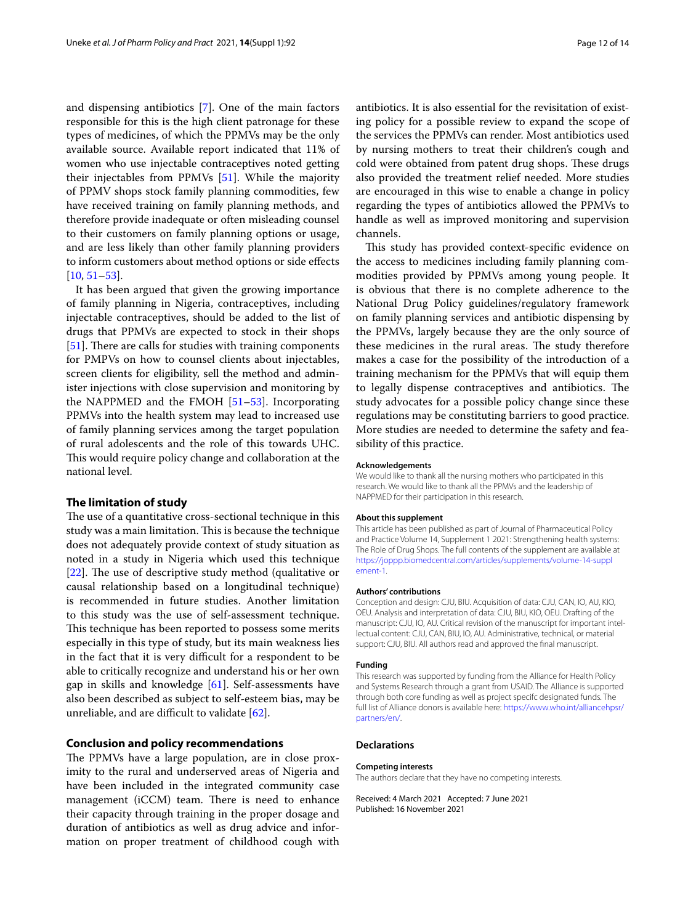and dispensing antibiotics [\[7](#page-12-6)]. One of the main factors responsible for this is the high client patronage for these types of medicines, of which the PPMVs may be the only available source. Available report indicated that 11% of women who use injectable contraceptives noted getting their injectables from PPMVs [[51\]](#page-13-5). While the majority of PPMV shops stock family planning commodities, few have received training on family planning methods, and therefore provide inadequate or often misleading counsel to their customers on family planning options or usage, and are less likely than other family planning providers to inform customers about method options or side efects  $[10, 51 - 53]$  $[10, 51 - 53]$  $[10, 51 - 53]$  $[10, 51 - 53]$ .

It has been argued that given the growing importance of family planning in Nigeria, contraceptives, including injectable contraceptives, should be added to the list of drugs that PPMVs are expected to stock in their shops  $[51]$  $[51]$ . There are calls for studies with training components for PMPVs on how to counsel clients about injectables, screen clients for eligibility, sell the method and administer injections with close supervision and monitoring by the NAPPMED and the FMOH [[51](#page-13-5)[–53](#page-13-6)]. Incorporating PPMVs into the health system may lead to increased use of family planning services among the target population of rural adolescents and the role of this towards UHC. This would require policy change and collaboration at the national level.

# **The limitation of study**

The use of a quantitative cross-sectional technique in this study was a main limitation. This is because the technique does not adequately provide context of study situation as noted in a study in Nigeria which used this technique [ $22$ ]. The use of descriptive study method (qualitative or causal relationship based on a longitudinal technique) is recommended in future studies. Another limitation to this study was the use of self-assessment technique. This technique has been reported to possess some merits especially in this type of study, but its main weakness lies in the fact that it is very difficult for a respondent to be able to critically recognize and understand his or her own gap in skills and knowledge  $[61]$  $[61]$ . Self-assessments have also been described as subject to self-esteem bias, may be unreliable, and are difficult to validate  $[62]$ .

# **Conclusion and policy recommendations**

The PPMVs have a large population, are in close proximity to the rural and underserved areas of Nigeria and have been included in the integrated community case management (iCCM) team. There is need to enhance their capacity through training in the proper dosage and duration of antibiotics as well as drug advice and information on proper treatment of childhood cough with antibiotics. It is also essential for the revisitation of existing policy for a possible review to expand the scope of the services the PPMVs can render. Most antibiotics used by nursing mothers to treat their children's cough and cold were obtained from patent drug shops. These drugs also provided the treatment relief needed. More studies are encouraged in this wise to enable a change in policy regarding the types of antibiotics allowed the PPMVs to handle as well as improved monitoring and supervision channels.

This study has provided context-specific evidence on the access to medicines including family planning commodities provided by PPMVs among young people. It is obvious that there is no complete adherence to the National Drug Policy guidelines/regulatory framework on family planning services and antibiotic dispensing by the PPMVs, largely because they are the only source of these medicines in the rural areas. The study therefore makes a case for the possibility of the introduction of a training mechanism for the PPMVs that will equip them to legally dispense contraceptives and antibiotics. The study advocates for a possible policy change since these regulations may be constituting barriers to good practice. More studies are needed to determine the safety and feasibility of this practice.

#### **Acknowledgements**

We would like to thank all the nursing mothers who participated in this research. We would like to thank all the PPMVs and the leadership of NAPPMED for their participation in this research.

#### **About this supplement**

This article has been published as part of Journal of Pharmaceutical Policy and Practice Volume 14, Supplement 1 2021: Strengthening health systems: The Role of Drug Shops. The full contents of the supplement are available at [https://joppp.biomedcentral.com/articles/supplements/volume-14-suppl](https://joppp.biomedcentral.com/articles/supplements/volume-14-supplement-1) [ement-1](https://joppp.biomedcentral.com/articles/supplements/volume-14-supplement-1).

#### **Authors' contributions**

Conception and design: CJU, BIU. Acquisition of data: CJU, CAN, IO, AU, KIO, OEU. Analysis and interpretation of data: CJU, BIU, KIO, OEU. Drafting of the manuscript: CJU, IO, AU. Critical revision of the manuscript for important intellectual content: CJU, CAN, BIU, IO, AU. Administrative, technical, or material support: CJU, BIU. All authors read and approved the fnal manuscript.

#### **Funding**

This research was supported by funding from the Alliance for Health Policy and Systems Research through a grant from USAID. The Alliance is supported through both core funding as well as project specifc designated funds. The full list of Alliance donors is available here: [https://www.who.int/alliancehpsr/](https://www.who.int/alliancehpsr/partners/en/) [partners/en/.](https://www.who.int/alliancehpsr/partners/en/)

#### **Declarations**

## **Competing interests**

The authors declare that they have no competing interests.

Received: 4 March 2021 Accepted: 7 June 2021 Published: 16 November 2021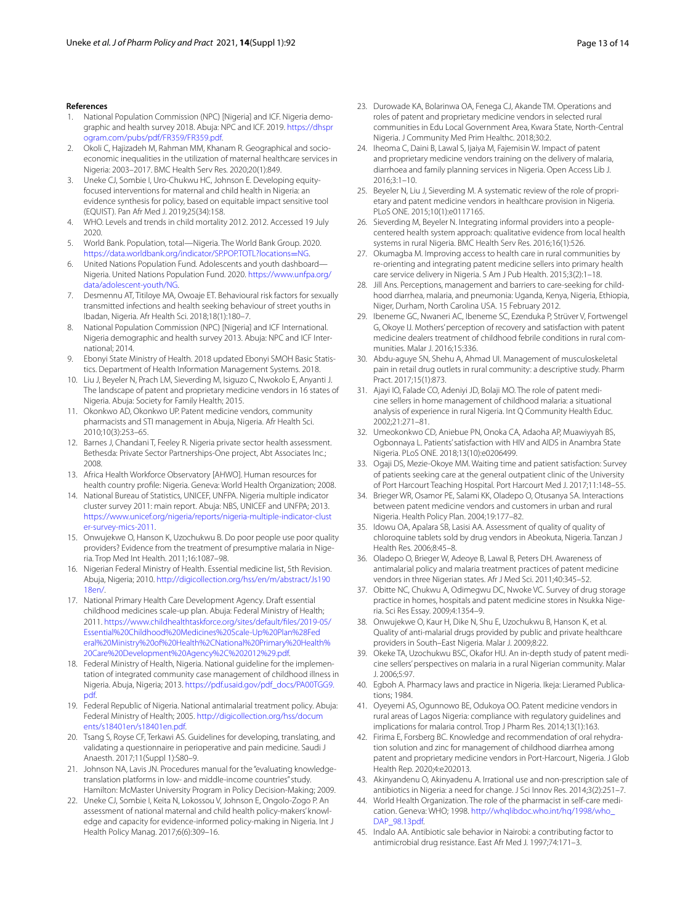# **References**

- <span id="page-12-0"></span>1. National Population Commission (NPC) [Nigeria] and ICF. Nigeria demographic and health survey 2018. Abuja: NPC and ICF. 2019. [https://dhspr](https://dhsprogram.com/pubs/pdf/FR359/FR359.pdf) [ogram.com/pubs/pdf/FR359/FR359.pdf.](https://dhsprogram.com/pubs/pdf/FR359/FR359.pdf)
- <span id="page-12-1"></span>2. Okoli C, Hajizadeh M, Rahman MM, Khanam R. Geographical and socioeconomic inequalities in the utilization of maternal healthcare services in Nigeria: 2003–2017. BMC Health Serv Res. 2020;20(1):849.
- <span id="page-12-2"></span>3. Uneke CJ, Sombie I, Uro-Chukwu HC, Johnson E. Developing equityfocused interventions for maternal and child health in Nigeria: an evidence synthesis for policy, based on equitable impact sensitive tool (EQUIST). Pan Afr Med J. 2019;25(34):158.
- <span id="page-12-3"></span>4. WHO. Levels and trends in child mortality 2012. 2012. Accessed 19 July 2020.
- <span id="page-12-4"></span>5. World Bank. Population, total—Nigeria. The World Bank Group. 2020. [https://data.worldbank.org/indicator/SP.POP.TOTL?locations](https://data.worldbank.org/indicator/SP.POP.TOTL?locations=NG)=NG.
- <span id="page-12-5"></span>6. United Nations Population Fund. Adolescents and youth dashboard— Nigeria. United Nations Population Fund. 2020. [https://www.unfpa.org/](https://www.unfpa.org/data/adolescent-youth/NG) [data/adolescent-youth/NG](https://www.unfpa.org/data/adolescent-youth/NG).
- <span id="page-12-6"></span>7. Desmennu AT, Titiloye MA, Owoaje ET. Behavioural risk factors for sexually transmitted infections and health seeking behaviour of street youths in Ibadan, Nigeria. Afr Health Sci. 2018;18(1):180–7.
- <span id="page-12-7"></span>8. National Population Commission (NPC) [Nigeria] and ICF International. Nigeria demographic and health survey 2013. Abuja: NPC and ICF International; 2014.
- <span id="page-12-9"></span>9. Ebonyi State Ministry of Health. 2018 updated Ebonyi SMOH Basic Statistics. Department of Health Information Management Systems. 2018.
- <span id="page-12-8"></span>10. Liu J, Beyeler N, Prach LM, Sieverding M, Isiguzo C, Nwokolo E, Anyanti J. The landscape of patent and proprietary medicine vendors in 16 states of Nigeria. Abuja: Society for Family Health; 2015.
- <span id="page-12-10"></span>11. Okonkwo AD, Okonkwo UP. Patent medicine vendors, community pharmacists and STI management in Abuja, Nigeria. Afr Health Sci. 2010;10(3):253–65.
- <span id="page-12-11"></span>12. Barnes J, Chandani T, Feeley R. Nigeria private sector health assessment. Bethesda: Private Sector Partnerships-One project, Abt Associates Inc.; 2008.
- <span id="page-12-12"></span>13. Africa Health Workforce Observatory [AHWO]. Human resources for health country profle: Nigeria. Geneva: World Health Organization; 2008.
- <span id="page-12-13"></span>14. National Bureau of Statistics, UNICEF, UNFPA. Nigeria multiple indicator cluster survey 2011: main report. Abuja: NBS, UNICEF and UNFPA; 2013. [https://www.unicef.org/nigeria/reports/nigeria-multiple-indicator-clust](https://www.unicef.org/nigeria/reports/nigeria-multiple-indicator-cluster-survey-mics-2011) [er-survey-mics-2011](https://www.unicef.org/nigeria/reports/nigeria-multiple-indicator-cluster-survey-mics-2011).
- <span id="page-12-14"></span>15. Onwujekwe O, Hanson K, Uzochukwu B. Do poor people use poor quality providers? Evidence from the treatment of presumptive malaria in Nigeria. Trop Med Int Health. 2011;16:1087–98.
- <span id="page-12-15"></span>16. Nigerian Federal Ministry of Health. Essential medicine list, 5th Revision. Abuja, Nigeria; 2010. [http://digicollection.org/hss/en/m/abstract/Js190](http://digicollection.org/hss/en/m/abstract/Js19018en/) [18en/](http://digicollection.org/hss/en/m/abstract/Js19018en/).
- <span id="page-12-16"></span>17. National Primary Health Care Development Agency. Draft essential childhood medicines scale-up plan. Abuja: Federal Ministry of Health; 2011. [https://www.childhealthtaskforce.org/sites/default/fles/2019-05/](https://www.childhealthtaskforce.org/sites/default/files/2019-05/Essential%20Childhood%20Medicines%20Scale-Up%20Plan%28Federal%20Ministry%20of%20Health%2CNational%20Primary%20Health%20Care%20Development%20Agency%2C%202012%29.pdf) [Essential%20Childhood%20Medicines%20Scale-Up%20Plan%28Fed](https://www.childhealthtaskforce.org/sites/default/files/2019-05/Essential%20Childhood%20Medicines%20Scale-Up%20Plan%28Federal%20Ministry%20of%20Health%2CNational%20Primary%20Health%20Care%20Development%20Agency%2C%202012%29.pdf) [eral%20Ministry%20of%20Health%2CNational%20Primary%20Health%](https://www.childhealthtaskforce.org/sites/default/files/2019-05/Essential%20Childhood%20Medicines%20Scale-Up%20Plan%28Federal%20Ministry%20of%20Health%2CNational%20Primary%20Health%20Care%20Development%20Agency%2C%202012%29.pdf) [20Care%20Development%20Agency%2C%202012%29.pdf](https://www.childhealthtaskforce.org/sites/default/files/2019-05/Essential%20Childhood%20Medicines%20Scale-Up%20Plan%28Federal%20Ministry%20of%20Health%2CNational%20Primary%20Health%20Care%20Development%20Agency%2C%202012%29.pdf).
- <span id="page-12-17"></span>18. Federal Ministry of Health, Nigeria. National guideline for the implementation of integrated community case management of childhood illness in Nigeria. Abuja, Nigeria; 2013. [https://pdf.usaid.gov/pdf\\_docs/PA00TGG9.](https://pdf.usaid.gov/pdf_docs/PA00TGG9.pdf) [pdf.](https://pdf.usaid.gov/pdf_docs/PA00TGG9.pdf)
- <span id="page-12-18"></span>19. Federal Republic of Nigeria. National antimalarial treatment policy. Abuja: Federal Ministry of Health; 2005. [http://digicollection.org/hss/docum](http://digicollection.org/hss/documents/s18401en/s18401en.pdf) [ents/s18401en/s18401en.pdf.](http://digicollection.org/hss/documents/s18401en/s18401en.pdf)
- <span id="page-12-19"></span>20. Tsang S, Royse CF, Terkawi AS. Guidelines for developing, translating, and validating a questionnaire in perioperative and pain medicine. Saudi J Anaesth. 2017;11(Suppl 1):S80–9.
- <span id="page-12-20"></span>21. Johnson NA, Lavis JN. Procedures manual for the "evaluating knowledgetranslation platforms in low- and middle-income countries" study. Hamilton: McMaster University Program in Policy Decision-Making; 2009.
- <span id="page-12-21"></span>22. Uneke CJ, Sombie I, Keita N, Lokossou V, Johnson E, Ongolo-Zogo P. An assessment of national maternal and child health policy-makers' knowledge and capacity for evidence-informed policy-making in Nigeria. Int J Health Policy Manag. 2017;6(6):309–16.
- <span id="page-12-22"></span>23. Durowade KA, Bolarinwa OA, Fenega CJ, Akande TM. Operations and roles of patent and proprietary medicine vendors in selected rural communities in Edu Local Government Area, Kwara State, North-Central Nigeria. J Community Med Prim Healthc. 2018;30:2.
- <span id="page-12-23"></span>24. Iheoma C, Daini B, Lawal S, Ijaiya M, Fajemisin W. Impact of patent and proprietary medicine vendors training on the delivery of malaria, diarrhoea and family planning services in Nigeria. Open Access Lib J. 2016;3:1–10.
- <span id="page-12-24"></span>25. Beyeler N, Liu J, Sieverding M. A systematic review of the role of proprietary and patent medicine vendors in healthcare provision in Nigeria. PLoS ONE. 2015;10(1):e0117165.
- <span id="page-12-25"></span>26. Sieverding M, Beyeler N. Integrating informal providers into a peoplecentered health system approach: qualitative evidence from local health systems in rural Nigeria. BMC Health Serv Res. 2016;16(1):526.
- <span id="page-12-26"></span>27. Okumagba M. Improving access to health care in rural communities by re-orienting and integrating patent medicine sellers into primary health care service delivery in Nigeria. S Am J Pub Health. 2015;3(2):1–18.
- <span id="page-12-27"></span>28. Jill Ans. Perceptions, management and barriers to care-seeking for childhood diarrhea, malaria, and pneumonia: Uganda, Kenya, Nigeria, Ethiopia, Niger, Durham, North Carolina USA. 15 February 2012.
- <span id="page-12-28"></span>29. Ibeneme GC, Nwaneri AC, Ibeneme SC, Ezenduka P, Strüver V, Fortwengel G, Okoye IJ. Mothers' perception of recovery and satisfaction with patent medicine dealers treatment of childhood febrile conditions in rural communities. Malar J. 2016;15:336.
- 30. Abdu-aguye SN, Shehu A, Ahmad UI. Management of musculoskeletal pain in retail drug outlets in rural community: a descriptive study. Pharm Pract. 2017;15(1):873.
- <span id="page-12-29"></span>31. Ajayi IO, Falade CO, Adeniyi JD, Bolaji MO. The role of patent medicine sellers in home management of childhood malaria: a situational analysis of experience in rural Nigeria. Int Q Community Health Educ. 2002;21:271–81.
- <span id="page-12-30"></span>32. Umeokonkwo CD, Aniebue PN, Onoka CA, Adaoha AP, Muawiyyah BS, Ogbonnaya L. Patients' satisfaction with HIV and AIDS in Anambra State Nigeria. PLoS ONE. 2018;13(10):e0206499.
- 33. Ogaji DS, Mezie-Okoye MM. Waiting time and patient satisfaction: Survey of patients seeking care at the general outpatient clinic of the University of Port Harcourt Teaching Hospital. Port Harcourt Med J. 2017;11:148–55.
- <span id="page-12-31"></span>34. Brieger WR, Osamor PE, Salami KK, Oladepo O, Otusanya SA. Interactions between patent medicine vendors and customers in urban and rural Nigeria. Health Policy Plan. 2004;19:177–82.
- <span id="page-12-32"></span>35. Idowu OA, Apalara SB, Lasisi AA. Assessment of quality of quality of chloroquine tablets sold by drug vendors in Abeokuta, Nigeria. Tanzan J Health Res. 2006;8:45–8.
- <span id="page-12-33"></span>36. Oladepo O, Brieger W, Adeoye B, Lawal B, Peters DH. Awareness of antimalarial policy and malaria treatment practices of patent medicine vendors in three Nigerian states. Afr J Med Sci. 2011;40:345–52.
- <span id="page-12-34"></span>37. Obitte NC, Chukwu A, Odimegwu DC, Nwoke VC. Survey of drug storage practice in homes, hospitals and patent medicine stores in Nsukka Nigeria. Sci Res Essay. 2009;4:1354–9.
- <span id="page-12-35"></span>38. Onwujekwe O, Kaur H, Dike N, Shu E, Uzochukwu B, Hanson K, et al. Quality of anti-malarial drugs provided by public and private healthcare providers in South–East Nigeria. Malar J. 2009;8:22.
- <span id="page-12-36"></span>39. Okeke TA, Uzochukwu BSC, Okafor HU. An in-depth study of patent medicine sellers' perspectives on malaria in a rural Nigerian community. Malar J. 2006;5:97.
- <span id="page-12-37"></span>40. Egboh A. Pharmacy laws and practice in Nigeria. Ikeja: Lieramed Publications; 1984.
- <span id="page-12-38"></span>41. Oyeyemi AS, Ogunnowo BE, Odukoya OO. Patent medicine vendors in rural areas of Lagos Nigeria: compliance with regulatory guidelines and implications for malaria control. Trop J Pharm Res. 2014;13(1):163.
- <span id="page-12-40"></span>42. Firima E, Forsberg BC. Knowledge and recommendation of oral rehydration solution and zinc for management of childhood diarrhea among patent and proprietary medicine vendors in Port-Harcourt, Nigeria. J Glob Health Rep. 2020;4:e202013.
- <span id="page-12-39"></span>43. Akinyandenu O, Akinyadenu A. Irrational use and non-prescription sale of antibiotics in Nigeria: a need for change. J Sci Innov Res. 2014;3(2):251–7.
- <span id="page-12-41"></span>44. World Health Organization. The role of the pharmacist in self-care medication. Geneva: WHO; 1998. [http://whqlibdoc.who.int/hq/1998/who\\_](http://whqlibdoc.who.int/hq/1998/who_DAP_98.13pdf) [DAP\\_98.13pdf](http://whqlibdoc.who.int/hq/1998/who_DAP_98.13pdf).
- <span id="page-12-42"></span>45. Indalo AA. Antibiotic sale behavior in Nairobi: a contributing factor to antimicrobial drug resistance. East Afr Med J. 1997;74:171–3.